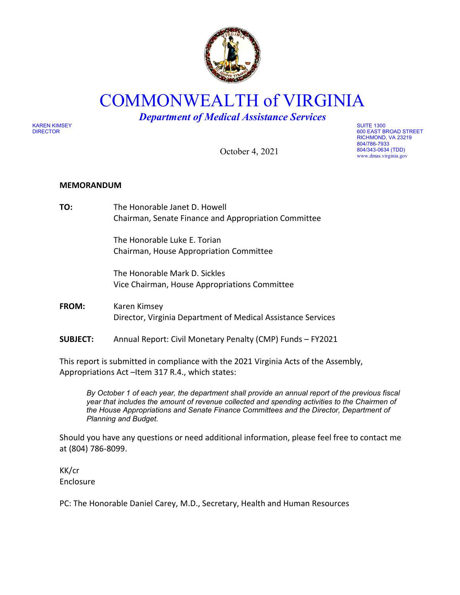

COMMONWEALTH of VIRGINIA

*Department of Medical Assistance Services*

KAREN KIMSEY SUITE 1300

October 4, 2021

DIRECTOR 600 EAST BROAD STREET RICHMOND, VA 23219 804/786-7933 804/343-0634 (TDD) www.dmas.virginia.gov

### **MEMORANDUM**

**TO:** The Honorable Janet D. Howell Chairman, Senate Finance and Appropriation Committee

> The Honorable Luke E. Torian Chairman, House Appropriation Committee

The Honorable Mark D. Sickles Vice Chairman, House Appropriations Committee

- **FROM:** Karen Kimsey Director, Virginia Department of Medical Assistance Services
- **SUBJECT:** Annual Report: Civil Monetary Penalty (CMP) Funds FY2021

This report is submitted in compliance with the 2021 Virginia Acts of the Assembly, Appropriations Act –Item 317 R.4., which states:

*By October 1 of each year, the department shall provide an annual report of the previous fiscal year that includes the amount of revenue collected and spending activities to the Chairmen of the House Appropriations and Senate Finance Committees and the Director, Department of Planning and Budget.* 

Should you have any questions or need additional information, please feel free to contact me at (804) 786-8099.

KK/cr Enclosure

PC: The Honorable Daniel Carey, M.D., Secretary, Health and Human Resources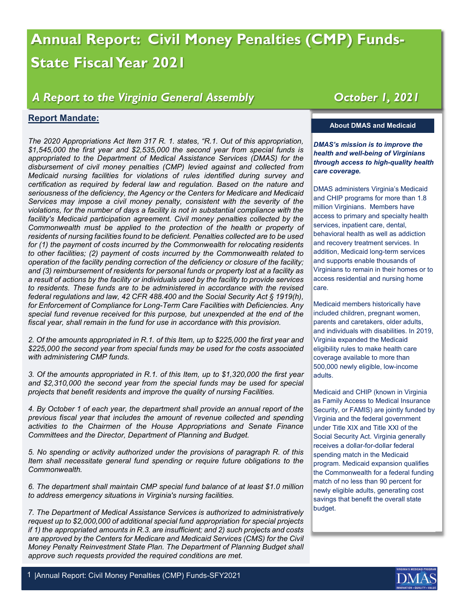# **Annual Report: Civil Money Penalties (CMP) Funds-State Fiscal Year 2021**

## *A Report to the Virginia General Assembly*

### **Report Mandate:**

*The 2020 Appropriations Act Item 317 R. 1. states, "R.1. Out of this appropriation, \$1,545,000 the first year and \$2,535,000 the second year from special funds is appropriated to the Department of Medical Assistance Services (DMAS) for the disbursement of civil money penalties (CMP) levied against and collected from Medicaid nursing facilities for violations of rules identified during survey and certification as required by federal law and regulation. Based on the nature and seriousness of the deficiency, the Agency or the Centers for Medicare and Medicaid Services may impose a civil money penalty, consistent with the severity of the violations, for the number of days a facility is not in substantial compliance with the facility's Medicaid participation agreement. Civil money penalties collected by the Commonwealth must be applied to the protection of the health or property of residents of nursing facilities found to be deficient. Penalties collected are to be used for (1) the payment of costs incurred by the Commonwealth for relocating residents to other facilities; (2) payment of costs incurred by the Commonwealth related to operation of the facility pending correction of the deficiency or closure of the facility; and (3) reimbursement of residents for personal funds or property lost at a facility as a result of actions by the facility or individuals used by the facility to provide services to residents. These funds are to be administered in accordance with the revised federal regulations and law, 42 CFR 488.400 and the Social Security Act § 1919(h), for Enforcement of Compliance for Long-Term Care Facilities with Deficiencies. Any special fund revenue received for this purpose, but unexpended at the end of the fiscal year, shall remain in the fund for use in accordance with this provision.*

*2. Of the amounts appropriated in R.1. of this Item, up to \$225,000 the first year and \$225,000 the second year from special funds may be used for the costs associated with administering CMP funds.*

*3. Of the amounts appropriated in R.1. of this Item, up to \$1,320,000 the first year and \$2,310,000 the second year from the special funds may be used for special projects that benefit residents and improve the quality of nursing Facilities.*

*4. By October 1 of each year, the department shall provide an annual report of the previous fiscal year that includes the amount of revenue collected and spending activities to the Chairmen of the House Appropriations and Senate Finance Committees and the Director, Department of Planning and Budget.*

*5. No spending or activity authorized under the provisions of paragraph R. of this Item shall necessitate general fund spending or require future obligations to the Commonwealth.* 

*6. The department shall maintain CMP special fund balance of at least \$1.0 million to address emergency situations in Virginia's nursing facilities.*

*7. The Department of Medical Assistance Services is authorized to administratively request up to \$2,000,000 of additional special fund appropriation for special projects if 1) the appropriated amounts in R.3. are insufficient; and 2) such projects and costs are approved by the Centers for Medicare and Medicaid Services (CMS) for the Civil Money Penalty Reinvestment State Plan. The Department of Planning Budget shall approve such requests provided the required conditions are met.*

# *October 1, 2021*

#### **About DMAS and Medicaid**

*DMAS's mission is to improve the health and well-being of Virginians through access to high-quality health care coverage.*

DMAS administers Virginia's Medicaid and CHIP programs for more than 1.8 million Virginians. Members have access to primary and specialty health services, inpatient care, dental, behavioral health as well as addiction and recovery treatment services. In addition, Medicaid long-term services and supports enable thousands of Virginians to remain in their homes or to access residential and nursing home care.

Medicaid members historically have included children, pregnant women, parents and caretakers, older adults, and individuals with disabilities. In 2019, Virginia expanded the Medicaid eligibility rules to make health care coverage available to more than 500,000 newly eligible, low-income adults.

Medicaid and CHIP (known in Virginia as Family Access to Medical Insurance Security, or FAMIS) are jointly funded by Virginia and the federal government under Title XIX and Title XXI of the Social Security Act. Virginia generally receives a dollar-for-dollar federal spending match in the Medicaid program. Medicaid expansion qualifies the Commonwealth for a federal funding match of no less than 90 percent for newly eligible adults, generating cost savings that benefit the overall state budget.

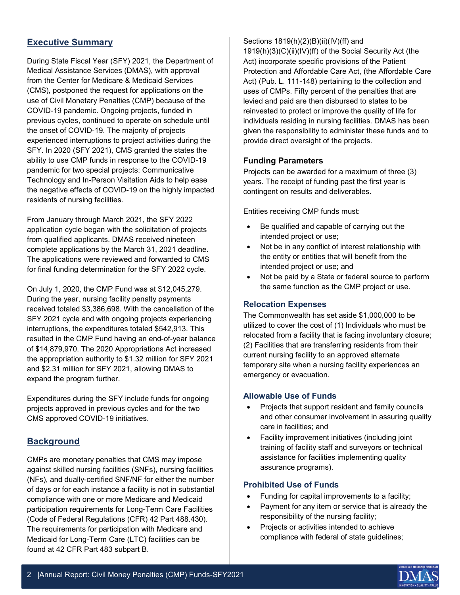### **Executive Summary**

During State Fiscal Year (SFY) 2021, the Department of Medical Assistance Services (DMAS), with approval from the Center for Medicare & Medicaid Services (CMS), postponed the request for applications on the use of Civil Monetary Penalties (CMP) because of the COVID-19 pandemic. Ongoing projects, funded in previous cycles, continued to operate on schedule until the onset of COVID-19. The majority of projects experienced interruptions to project activities during the SFY. In 2020 (SFY 2021), CMS granted the states the ability to use CMP funds in response to the COVID-19 pandemic for two special projects: Communicative Technology and In-Person Visitation Aids to help ease the negative effects of COVID-19 on the highly impacted residents of nursing facilities.

From January through March 2021, the SFY 2022 application cycle began with the solicitation of projects from qualified applicants. DMAS received nineteen complete applications by the March 31, 2021 deadline. The applications were reviewed and forwarded to CMS for final funding determination for the SFY 2022 cycle.

On July 1, 2020, the CMP Fund was at \$12,045,279. During the year, nursing facility penalty payments received totaled \$3,386,698. With the cancellation of the SFY 2021 cycle and with ongoing projects experiencing interruptions, the expenditures totaled \$542,913. This resulted in the CMP Fund having an end-of-year balance of \$14,879,970. The 2020 Appropriations Act increased the appropriation authority to \$1.32 million for SFY 2021 and \$2.31 million for SFY 2021, allowing DMAS to expand the program further.

Expenditures during the SFY include funds for ongoing projects approved in previous cycles and for the two CMS approved COVID-19 initiatives.

### **Background**

CMPs are monetary penalties that CMS may impose against skilled nursing facilities (SNFs), nursing facilities (NFs), and dually-certified SNF/NF for either the number of days or for each instance a facility is not in substantial compliance with one or more Medicare and Medicaid participation requirements for Long-Term Care Facilities (Code of Federal Regulations (CFR) 42 Part 488.430). The requirements for participation with Medicare and Medicaid for Long-Term Care (LTC) facilities can be found at 42 CFR Part 483 subpart B.

Sections 1819(h)(2)(B)(ii)(IV)(ff) and

1919(h)(3)(C)(ii)(IV)(ff) of the Social Security Act (the Act) incorporate specific provisions of the Patient Protection and Affordable Care Act, (the Affordable Care Act) (Pub. L. 111-148) pertaining to the collection and uses of CMPs. Fifty percent of the penalties that are levied and paid are then disbursed to states to be reinvested to protect or improve the quality of life for individuals residing in nursing facilities. DMAS has been given the responsibility to administer these funds and to provide direct oversight of the projects.

### **Funding Parameters**

Projects can be awarded for a maximum of three (3) years. The receipt of funding past the first year is contingent on results and deliverables.

Entities receiving CMP funds must:

- Be qualified and capable of carrying out the intended project or use;
- Not be in any conflict of interest relationship with the entity or entities that will benefit from the intended project or use; and
- Not be paid by a State or federal source to perform the same function as the CMP project or use.

#### **Relocation Expenses**

The Commonwealth has set aside \$1,000,000 to be utilized to cover the cost of (1) Individuals who must be relocated from a facility that is facing involuntary closure; (2) Facilities that are transferring residents from their current nursing facility to an approved alternate temporary site when a nursing facility experiences an emergency or evacuation.

#### **Allowable Use of Funds**

- Projects that support resident and family councils and other consumer involvement in assuring quality care in facilities; and
- Facility improvement initiatives (including joint training of facility staff and surveyors or technical assistance for facilities implementing quality assurance programs).

#### **Prohibited Use of Funds**

- Funding for capital improvements to a facility;
- Payment for any item or service that is already the responsibility of the nursing facility;
- Projects or activities intended to achieve compliance with federal of state guidelines;

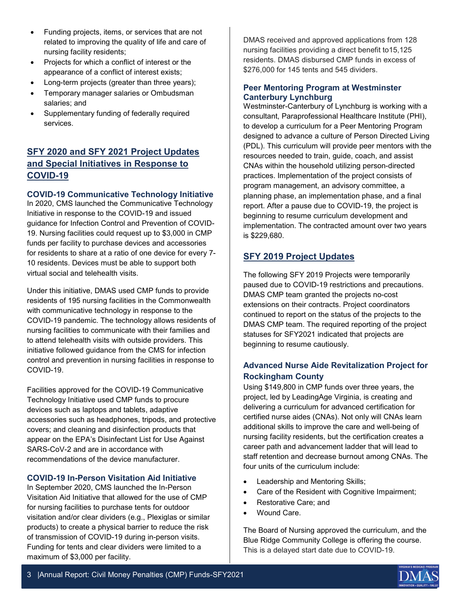- Funding projects, items, or services that are not related to improving the quality of life and care of nursing facility residents;
- Projects for which a conflict of interest or the appearance of a conflict of interest exists;
- Long-term projects (greater than three years);
- Temporary manager salaries or Ombudsman salaries; and
- Supplementary funding of federally required services.

### **SFY 2020 and SFY 2021 Project Updates and Special Initiatives in Response to COVID-19**

### **COVID-19 Communicative Technology Initiative**

In 2020, CMS launched the Communicative Technology Initiative in response to the COVID-19 and issued guidance for Infection Control and Prevention of COVID-19. Nursing facilities could request up to \$3,000 in CMP funds per facility to purchase devices and accessories for residents to share at a ratio of one device for every 7- 10 residents. Devices must be able to support both virtual social and telehealth visits.

Under this initiative, DMAS used CMP funds to provide residents of 195 nursing facilities in the Commonwealth with communicative technology in response to the COVID-19 pandemic. The technology allows residents of nursing facilities to communicate with their families and to attend telehealth visits with outside providers. This initiative followed guidance from the CMS for infection control and prevention in nursing facilities in response to COVID-19.

Facilities approved for the COVID-19 Communicative Technology Initiative used CMP funds to procure devices such as laptops and tablets, adaptive accessories such as headphones, tripods, and protective covers; and cleaning and disinfection products that appear on the EPA's Disinfectant List for Use Against SARS-CoV-2 and are in accordance with recommendations of the device manufacturer.

### **COVID-19 In-Person Visitation Aid Initiative**

In September 2020, CMS launched the In-Person Visitation Aid Initiative that allowed for the use of CMP for nursing facilities to purchase tents for outdoor visitation and/or clear dividers (e.g., Plexiglas or similar products) to create a physical barrier to reduce the risk of transmission of COVID-19 during in-person visits. Funding for tents and clear dividers were limited to a maximum of \$3,000 per facility.

DMAS received and approved applications from 128 nursing facilities providing a direct benefit to15,125 residents. DMAS disbursed CMP funds in excess of \$276,000 for 145 tents and 545 dividers.

### **Peer Mentoring Program at Westminster Canterbury Lynchburg**

Westminster-Canterbury of Lynchburg is working with a consultant, Paraprofessional Healthcare Institute (PHI), to develop a curriculum for a Peer Mentoring Program designed to advance a culture of Person Directed Living (PDL). This curriculum will provide peer mentors with the resources needed to train, guide, coach, and assist CNAs within the household utilizing person-directed practices. Implementation of the project consists of program management, an advisory committee, a planning phase, an implementation phase, and a final report. After a pause due to COVID-19, the project is beginning to resume curriculum development and implementation. The contracted amount over two years is \$229,680.

### **SFY 2019 Project Updates**

The following SFY 2019 Projects were temporarily paused due to COVID-19 restrictions and precautions. DMAS CMP team granted the projects no-cost extensions on their contracts. Project coordinators continued to report on the status of the projects to the DMAS CMP team. The required reporting of the project statuses for SFY2021 indicated that projects are beginning to resume cautiously.

### **Advanced Nurse Aide Revitalization Project for Rockingham County**

Using \$149,800 in CMP funds over three years, the project, led by LeadingAge Virginia, is creating and delivering a curriculum for advanced certification for certified nurse aides (CNAs). Not only will CNAs learn additional skills to improve the care and well-being of nursing facility residents, but the certification creates a career path and advancement ladder that will lead to staff retention and decrease burnout among CNAs. The four units of the curriculum include:

- Leadership and Mentoring Skills;
- Care of the Resident with Cognitive Impairment;
- Restorative Care; and
- Wound Care.

The Board of Nursing approved the curriculum, and the Blue Ridge Community College is offering the course. This is a delayed start date due to COVID-19.